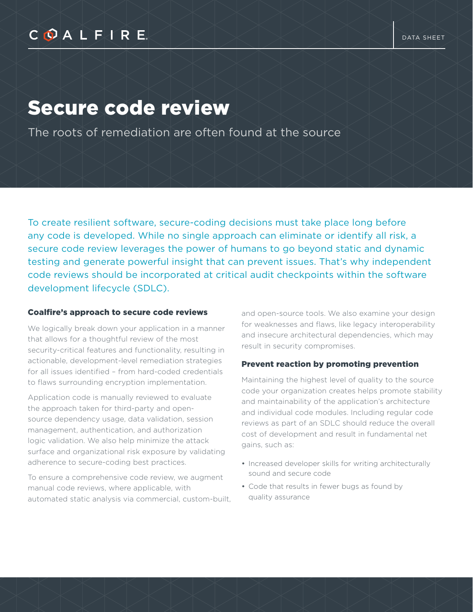# COALFIRE

# Secure code review

The roots of remediation are often found at the source

To create resilient software, secure-coding decisions must take place long before any code is developed. While no single approach can eliminate or identify all risk, a secure code review leverages the power of humans to go beyond static and dynamic testing and generate powerful insight that can prevent issues. That's why independent code reviews should be incorporated at critical audit checkpoints within the software development lifecycle (SDLC).

#### Coalfire's approach to secure code reviews

We logically break down your application in a manner that allows for a thoughtful review of the most security-critical features and functionality, resulting in actionable, development-level remediation strategies for all issues identified – from hard-coded credentials to flaws surrounding encryption implementation.

Application code is manually reviewed to evaluate the approach taken for third-party and opensource dependency usage, data validation, session management, authentication, and authorization logic validation. We also help minimize the attack surface and organizational risk exposure by validating adherence to secure-coding best practices.

To ensure a comprehensive code review, we augment manual code reviews, where applicable, with automated static analysis via commercial, custom-built, and open-source tools. We also examine your design for weaknesses and flaws, like legacy interoperability and insecure architectural dependencies, which may result in security compromises.

#### Prevent reaction by promoting prevention

Maintaining the highest level of quality to the source code your organization creates helps promote stability and maintainability of the application's architecture and individual code modules. Including regular code reviews as part of an SDLC should reduce the overall cost of development and result in fundamental net gains, such as:

- Increased developer skills for writing architecturally sound and secure code
- Code that results in fewer bugs as found by quality assurance